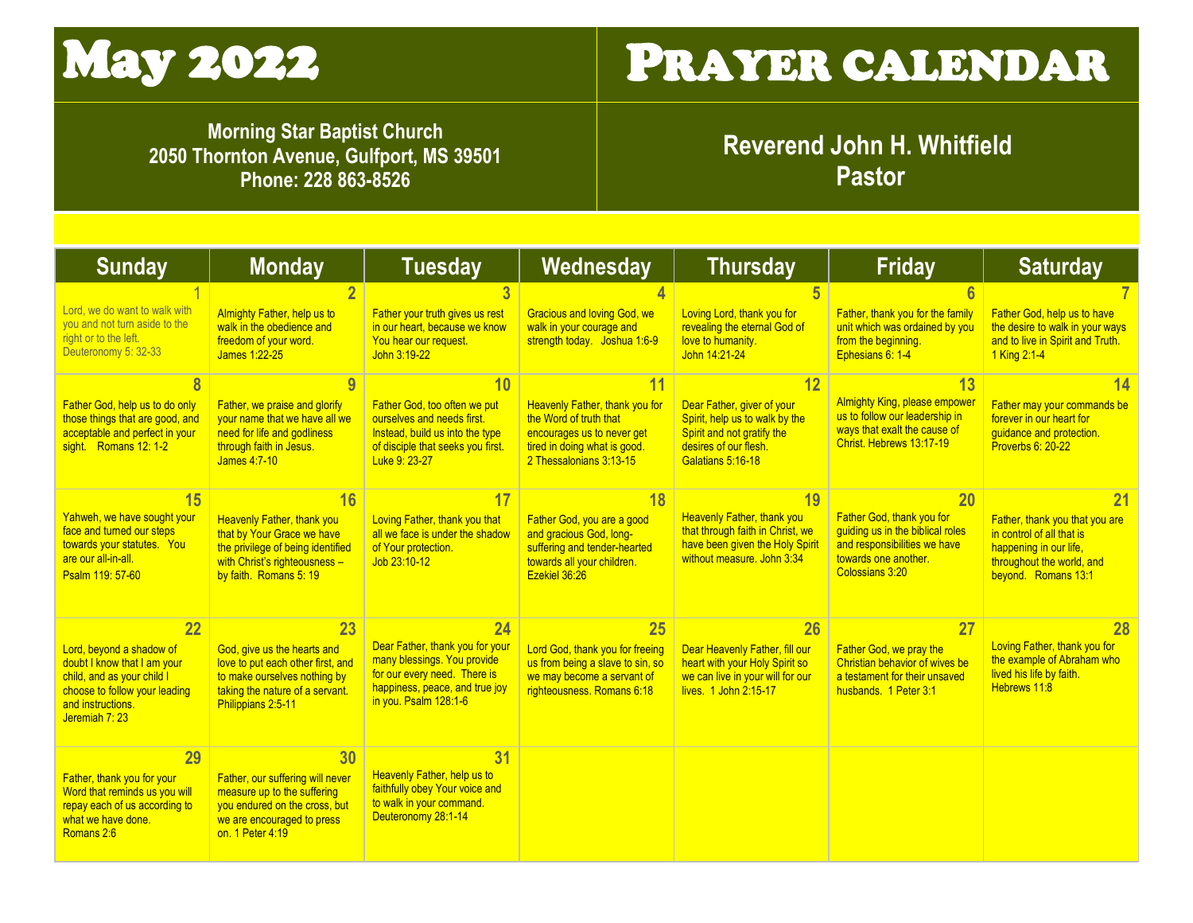

## May 2022 PRAYER CALENDAR

**Morning Star Baptist Church 2050 Thornton Avenue, Gulfport, MS 39501 Phone: 228 863-8526**

**Reverend John H. Whitfield Pastor**

| <b>Sunday</b>                                                                                                                                                       | <b>Monday</b>                                                                                                                                                         | <b>Tuesday</b>                                                                                                                                                  | Wednesday                                                                                                                                         | <b>Thursday</b>                                                                                                                                | <b>Friday</b>                                                                                                                                    | <b>Saturday</b>                                                                                                                                 |
|---------------------------------------------------------------------------------------------------------------------------------------------------------------------|-----------------------------------------------------------------------------------------------------------------------------------------------------------------------|-----------------------------------------------------------------------------------------------------------------------------------------------------------------|---------------------------------------------------------------------------------------------------------------------------------------------------|------------------------------------------------------------------------------------------------------------------------------------------------|--------------------------------------------------------------------------------------------------------------------------------------------------|-------------------------------------------------------------------------------------------------------------------------------------------------|
| Lord, we do want to walk with<br>you and not turn aside to the<br>right or to the left.<br>Deuteronomy 5: 32-33                                                     | Almighty Father, help us to<br>walk in the obedience and<br>freedom of your word.<br>James 1:22-25                                                                    | Father your truth gives us rest<br>in our heart, because we know<br>You hear our request.<br>John 3:19-22                                                       | <b>Gracious and loving God, we</b><br>walk in your courage and<br>strength today. Joshua 1:6-9                                                    | Loving Lord, thank you for<br>revealing the eternal God of<br>love to humanity.<br>John 14:21-24                                               | Father, thank you for the family<br>unit which was ordained by you<br>from the beginning.<br>Ephesians 6: 1-4                                    | Father God, help us to have<br>the desire to walk in your ways<br>and to live in Spirit and Truth.<br>1 King 2:1-4                              |
| Father God, help us to do only<br>those things that are good, and<br>acceptable and perfect in your<br>sight Romans 12: 1-2                                         | 9<br>Father, we praise and glorify<br>your name that we have all we<br>need for life and godliness<br>through faith in Jesus.<br>James 4:7-10                         | 10<br>Father God, too often we put<br>ourselves and needs first.<br>Instead, build us into the type<br>of disciple that seeks you first.<br>Luke 9: 23-27       | Heavenly Father, thank you for<br>the Word of truth that<br>encourages us to never get<br>tired in doing what is good.<br>2 Thessalonians 3:13-15 | 12<br>Dear Father, giver of your<br>Spirit, help us to walk by the<br>Spirit and not gratify the<br>desires of our flesh.<br>Galatians 5:16-18 | <u> 13</u><br><b>Almighty King, please empower</b><br>us to follow our leadership in<br>ways that exalt the cause of<br>Christ. Hebrews 13:17-19 | Father may your commands be<br>forever in our heart for<br>quidance and protection.<br><b>Proverbs 6: 20-22</b>                                 |
| <b>15</b><br>Yahweh, we have sought your<br>face and turned our steps<br>towards your statutes. You<br>are our all-in-all.<br>Psalm 119: 57-60                      | 16<br><b>Heavenly Father, thank you</b><br>that by Your Grace we have<br>the privilege of being identified<br>with Christ's righteousness -<br>by faith. Romans 5: 19 | Loving Father, thank you that<br>all we face is under the shadow<br>of Your protection.<br>Job 23:10-12                                                         | 18<br>Father God, you are a good<br>and gracious God, long-<br>suffering and tender-hearted<br>towards all your children.<br>Ezekiel 36:26        | 19<br><b>Heavenly Father, thank you</b><br>that through faith in Christ, we<br>have been given the Holy Spirit<br>without measure, John 3:34   | 20<br>Father God, thank you for<br>quiding us in the biblical roles<br>and responsibilities we have<br>towards one another.<br>Colossians 3:20   | 21<br>Father, thank you that you are<br>in control of all that is<br>happening in our life.<br>throughout the world, and<br>beyond. Romans 13:1 |
| 22<br>Lord, beyond a shadow of<br>doubt I know that I am your<br>child, and as your child I<br>choose to follow your leading<br>and instructions.<br>Jeremiah 7: 23 | 23<br>God, give us the hearts and<br>love to put each other first, and<br>to make ourselves nothing by<br>taking the nature of a servant.<br>Philippians 2:5-11       | 24<br>Dear Father, thank you for your<br>many blessings. You provide<br>for our every need. There is<br>happiness, peace, and true joy<br>in you. Psalm 128:1-6 | 25<br>Lord God, thank you for freeing<br>us from being a slave to sin, so<br>we may become a servant of<br>righteousness. Romans 6:18             | 26<br>Dear Heavenly Father, fill our<br>heart with your Holy Spirit so<br>we can live in your will for our<br>lives. 1 John 2:15-17            | 27<br>Father God, we pray the<br>Christian behavior of wives be<br>a testament for their unsaved<br>husbands. 1 Peter 3:1                        | 28<br>Loving Father, thank you for<br>the example of Abraham who<br>lived his life by faith.<br>Hebrews 11:8                                    |
| 29<br>Father, thank you for your<br>Word that reminds us you will<br>repay each of us according to<br>what we have done.<br>Romans 2:6                              | 30<br>Father, our suffering will never<br>measure up to the suffering<br>you endured on the cross, but<br>we are encouraged to press<br>on. 1 Peter 4:19              | 31<br>Heavenly Father, help us to<br>faithfully obey Your voice and<br>to walk in your command.<br>Deuteronomy 28:1-14                                          |                                                                                                                                                   |                                                                                                                                                |                                                                                                                                                  |                                                                                                                                                 |